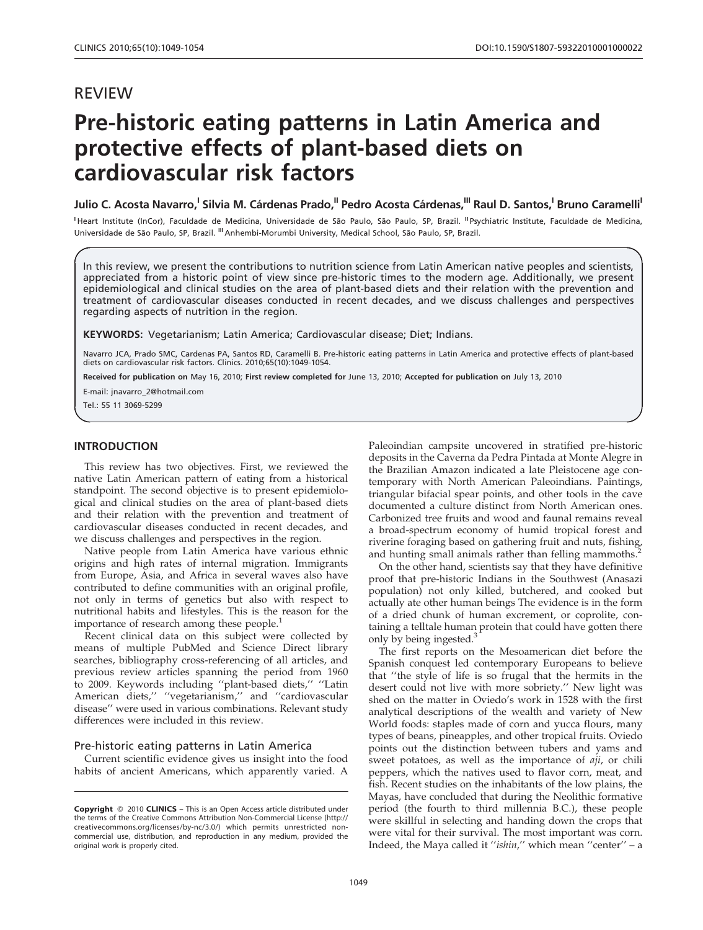# REVIEW

# Pre-historic eating patterns in Latin America and protective effects of plant-based diets on cardiovascular risk factors

# Julio C. Acosta Navarro,<sup>I</sup> Silvia M. Cárdenas Prado,<sup>II</sup> Pedro Acosta Cárdenas,<sup>III</sup> Raul D. Santos,<sup>I</sup> Bruno Caramelli<sup>I</sup>

<sup>1</sup> Heart Institute (InCor), Faculdade de Medicina, Universidade de São Paulo, São Paulo, SP, Brazil. <sup>II</sup> Psychiatric Institute, Faculdade de Medicina, Universidade de São Paulo, SP, Brazil. <sup>III</sup> Anhembi-Morumbi University, Medical School, São Paulo, SP, Brazil.

In this review, we present the contributions to nutrition science from Latin American native peoples and scientists, appreciated from a historic point of view since pre-historic times to the modern age. Additionally, we present epidemiological and clinical studies on the area of plant-based diets and their relation with the prevention and treatment of cardiovascular diseases conducted in recent decades, and we discuss challenges and perspectives regarding aspects of nutrition in the region.

KEYWORDS: Vegetarianism; Latin America; Cardiovascular disease; Diet; Indians.

Navarro JCA, Prado SMC, Cardenas PA, Santos RD, Caramelli B. Pre-historic eating patterns in Latin America and protective effects of plant-based diets on cardiovascular risk factors. Clinics. 2010;65(10):1049-1054.

Received for publication on May 16, 2010; First review completed for June 13, 2010; Accepted for publication on July 13, 2010

E-mail: jnavarro\_2@hotmail.com

Tel.: 55 11 3069-5299

## INTRODUCTION

This review has two objectives. First, we reviewed the native Latin American pattern of eating from a historical standpoint. The second objective is to present epidemiological and clinical studies on the area of plant-based diets and their relation with the prevention and treatment of cardiovascular diseases conducted in recent decades, and we discuss challenges and perspectives in the region.

Native people from Latin America have various ethnic origins and high rates of internal migration. Immigrants from Europe, Asia, and Africa in several waves also have contributed to define communities with an original profile, not only in terms of genetics but also with respect to nutritional habits and lifestyles. This is the reason for the importance of research among these people.<sup>[1](#page-4-0)</sup>

Recent clinical data on this subject were collected by means of multiple PubMed and Science Direct library searches, bibliography cross-referencing of all articles, and previous review articles spanning the period from 1960 to 2009. Keywords including ''plant-based diets,'' ''Latin American diets,'' ''vegetarianism,'' and ''cardiovascular disease'' were used in various combinations. Relevant study differences were included in this review.

#### Pre-historic eating patterns in Latin America

Current scientific evidence gives us insight into the food habits of ancient Americans, which apparently varied. A

Paleoindian campsite uncovered in stratified pre-historic deposits in the Caverna da Pedra Pintada at Monte Alegre in the Brazilian Amazon indicated a late Pleistocene age contemporary with North American Paleoindians. Paintings, triangular bifacial spear points, and other tools in the cave documented a culture distinct from North American ones. Carbonized tree fruits and wood and faunal remains reveal a broad-spectrum economy of humid tropical forest and riverine foraging based on gathering fruit and nuts, fishing, and hunting small animals rather than felling mammoths.

On the other hand, scientists say that they have definitive proof that pre-historic Indians in the Southwest (Anasazi population) not only killed, butchered, and cooked but actually ate other human beings The evidence is in the form of a dried chunk of human excrement, or coprolite, containing a telltale human protein that could have gotten there only by being ingested.<sup>[3](#page-4-0)</sup>

The first reports on the Mesoamerican diet before the Spanish conquest led contemporary Europeans to believe that ''the style of life is so frugal that the hermits in the desert could not live with more sobriety.'' New light was shed on the matter in Oviedo's work in 1528 with the first analytical descriptions of the wealth and variety of New World foods: staples made of corn and yucca flours, many types of beans, pineapples, and other tropical fruits. Oviedo points out the distinction between tubers and yams and sweet potatoes, as well as the importance of *aji*, or chili peppers, which the natives used to flavor corn, meat, and fish. Recent studies on the inhabitants of the low plains, the Mayas, have concluded that during the Neolithic formative period (the fourth to third millennia B.C.), these people were skillful in selecting and handing down the crops that were vital for their survival. The most important was corn. Indeed, the Maya called it ''ishin,'' which mean ''center'' – a

Copyright  $@ 2010$  CLINICS - This is an Open Access article distributed under the terms of the Creative Commons Attribution Non-Commercial License (http:// creativecommons.org/licenses/by-nc/3.0/) which permits unrestricted noncommercial use, distribution, and reproduction in any medium, provided the original work is properly cited.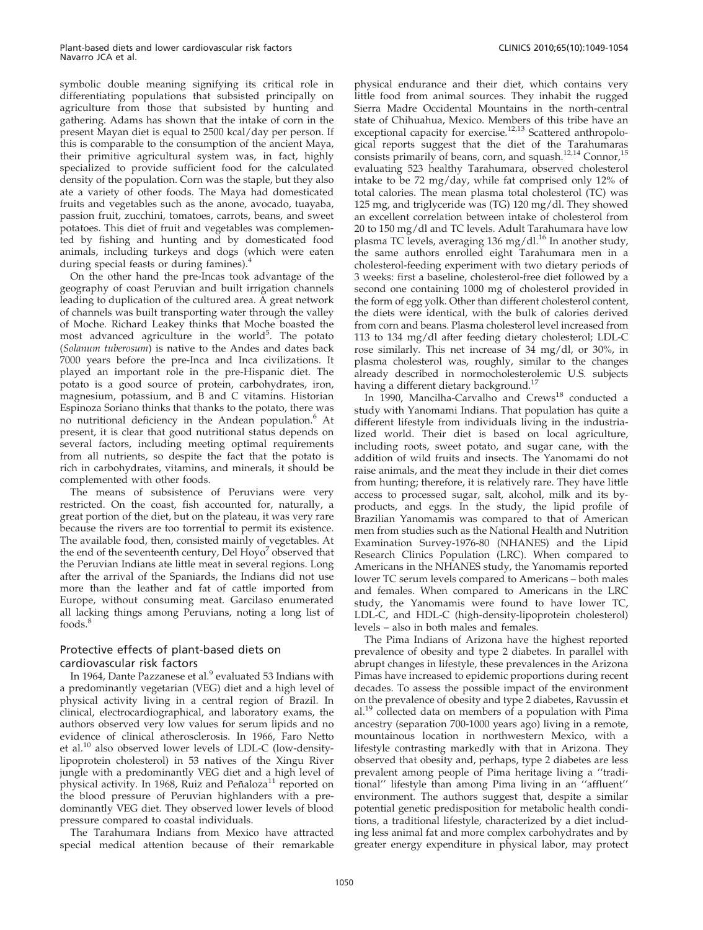symbolic double meaning signifying its critical role in differentiating populations that subsisted principally on agriculture from those that subsisted by hunting and gathering. Adams has shown that the intake of corn in the present Mayan diet is equal to 2500 kcal/day per person. If this is comparable to the consumption of the ancient Maya, their primitive agricultural system was, in fact, highly specialized to provide sufficient food for the calculated density of the population. Corn was the staple, but they also ate a variety of other foods. The Maya had domesticated fruits and vegetables such as the anone, avocado, tuayaba, passion fruit, zucchini, tomatoes, carrots, beans, and sweet potatoes. This diet of fruit and vegetables was complemented by fishing and hunting and by domesticated food animals, including turkeys and dogs (which were eaten during special feasts or during famines).<sup>4</sup>

On the other hand the pre-Incas took advantage of the geography of coast Peruvian and built irrigation channels leading to duplication of the cultured area. A great network of channels was built transporting water through the valley of Moche. Richard Leakey thinks that Moche boasted the most advanced agriculture in the world<sup>[5](#page-5-0)</sup>[. The potato](#page-5-0) (Solanum tuberosum[\) is native to the Andes and dates back](#page-5-0) [7000 years before the pre-Inca and Inca civilizations. It](#page-5-0) [played an important role in the pre-Hispanic diet. The](#page-5-0) [potato is a good source of protein, carbohydrates, iron,](#page-5-0) [magnesium, potassium, and B and C vitamins. Historian](#page-5-0) [Espinoza Soriano thinks that thanks to the potato, there was](#page-5-0) [no](#page-5-0) [nutritional](#page-5-0) [deficiency](#page-5-0) [in](#page-5-0) [the](#page-5-0) [Andean](#page-5-0) [population.](#page-5-0)<sup>6</sup> [At](#page-5-0) [present, it is clear that good nutritional status depends on](#page-5-0) [several factors, including meeting optimal requirements](#page-5-0) [from all nutrients, so despite the fact that the potato is](#page-5-0) [rich in carbohydrates, vitamins, and minerals, it should be](#page-5-0) [complemented with other foods.](#page-5-0)

The means of subsistence of Peruvians were very restricted. On the coast, fish accounted for, naturally, a great portion of the diet, but on the plateau, it was very rare because the rivers are too torrential to permit its existence. The available food, then, consisted mainly of vegetables. At the end of the seventeenth century, Del Hoyo<sup>[7](#page-5-0)</sup> [observed that](#page-5-0) [the Peruvian Indians ate little meat in several regions. Long](#page-5-0) [after the arrival of the Spaniards, the Indians did not use](#page-5-0) [more than the leather and fat of cattle imported from](#page-5-0) [Europe, without consuming meat. Garcilaso enumerated](#page-5-0) [all lacking things among Peruvians, noting a long list of](#page-5-0) [foods.](#page-5-0)<sup>8</sup>

# Protective effects of plant-based diets on cardiovascular risk factors

In 1[9](#page-5-0)64, Dante Pazzanese et al.<sup>9</sup> [evaluated 53 Indians with](#page-5-0) [a predominantly vegetarian \(VEG\) diet and a high level of](#page-5-0) [physical activity living in a central region of Brazil. In](#page-5-0) [clinical, electrocardiographical, and laboratory exams, the](#page-5-0) [authors observed very low values for serum lipids and no](#page-5-0) [evidence of clinical atherosclerosis. In 1966, Faro Netto](#page-5-0) [et](#page-5-0) [al.](#page-5-0)<sup>10</sup> [also observed lower levels of LDL-C \(low-density](#page-5-0)[lipoprotein cholesterol\) in 53 natives of the Xingu River](#page-5-0) [jungle with a predominantly VEG diet and a high level of](#page-5-0) [physical](#page-5-0) [activity.](#page-5-0) [In](#page-5-0) [1968,](#page-5-0) [Ruiz](#page-5-0) [and](#page-5-0) Peñaloza $^{11}$  [reported on](#page-5-0) [the blood pressure of Peruvian highlanders with a pre](#page-5-0)[dominantly VEG diet. They observed lower levels of blood](#page-5-0) [pressure compared to coastal individuals.](#page-5-0)

The Tarahumara Indians from Mexico have attracted special medical attention because of their remarkable

physical endurance and their diet, which contains very little food from animal sources. They inhabit the rugged Sierra Madre Occidental Mountains in the north-central state of Chihuahua, Mexico. Members of this tribe have an exceptional capacity for exercise.<sup>[12,13](#page-5-0)</sup> [Scattered anthropolo](#page-5-0)[gical reports suggest that the diet of the Tarahumaras](#page-5-0) [consists](#page-5-0) [primarily](#page-5-0) [of](#page-5-0) [beans,](#page-5-0) [corn,](#page-5-0) [and](#page-5-0) squash.<sup>12,14</sup> [Connor,](#page-5-0)<sup>15</sup> [evaluating 523 healthy Tarahumara, observed cholesterol](#page-5-0) [intake to be 72 mg/day, while fat comprised only 12% of](#page-5-0) [total calories. The mean plasma total cholesterol \(TC\) was](#page-5-0) [125 mg, and triglyceride was \(TG\) 120 mg/dl. They showed](#page-5-0) [an excellent correlation between intake of cholesterol from](#page-5-0) [20 to 150 mg/dl and TC levels. Adult Tarahumara have low](#page-5-0) [plasma](#page-5-0) [TC](#page-5-0) [levels,](#page-5-0) [averaging](#page-5-0) [136](#page-5-0) [mg/dl.](#page-5-0)<sup>16</sup> [In another study,](#page-5-0) [the same authors enrolled eight Tarahumara men in a](#page-5-0) [cholesterol-feeding experiment with two dietary periods of](#page-5-0) [3 weeks: first a baseline, cholesterol-free diet followed by a](#page-5-0) [second one containing 1000 mg of cholesterol provided in](#page-5-0) [the form of egg yolk. Other than different cholesterol content,](#page-5-0) [the diets were identical, with the bulk of calories derived](#page-5-0) [from corn and beans. Plasma cholesterol level increased from](#page-5-0) [113 to 134 mg/dl after feeding dietary cholesterol; LDL-C](#page-5-0) [rose similarly. This net increase of 34 mg/dl, or 30%, in](#page-5-0) [plasma cholesterol was, roughly, similar to the changes](#page-5-0) [already described in normocholesterolemic U.S. subjects](#page-5-0) [having](#page-5-0) [a](#page-5-0) [different](#page-5-0) [dietary](#page-5-0) background.<sup>17</sup>

In 1990, Mancilha-Carvalho and Crews<sup>18</sup> [conducted a](#page-5-0) [study with Yanomami Indians. That population has quite a](#page-5-0) [different lifestyle from individuals living in the industria](#page-5-0)[lized world. Their diet is based on local agriculture,](#page-5-0) [including roots, sweet potato, and sugar cane, with the](#page-5-0) [addition of wild fruits and insects. The Yanomami do not](#page-5-0) [raise animals, and the meat they include in their diet comes](#page-5-0) [from hunting; therefore, it is relatively rare. They have little](#page-5-0) [access to processed sugar, salt, alcohol, milk and its by](#page-5-0)[products, and eggs. In the study, the lipid profile of](#page-5-0) [Brazilian Yanomamis was compared to that of American](#page-5-0) [men from studies such as the National Health and Nutrition](#page-5-0) [Examination Survey-1976-80 \(NHANES\) and the Lipid](#page-5-0) [Research Clinics Population \(LRC\). When compared to](#page-5-0) [Americans in the NHANES study, the Yanomamis reported](#page-5-0) [lower TC serum levels compared to Americans – both males](#page-5-0) [and females. When compared to Americans in the LRC](#page-5-0) [study, the Yanomamis were found to have lower TC,](#page-5-0) [LDL-C, and HDL-C \(high-density-lipoprotein cholesterol\)](#page-5-0) [levels – also in both males and females.](#page-5-0)

The Pima Indians of Arizona have the highest reported prevalence of obesity and type 2 diabetes. In parallel with abrupt changes in lifestyle, these prevalences in the Arizona Pimas have increased to epidemic proportions during recent decades. To assess the possible impact of the environment on the prevalence of obesity and type 2 diabetes, Ravussin et al.[19](#page-5-0) [collected data on members of a population with Pima](#page-5-0) [ancestry \(separation 700-1000 years ago\) living in a remote,](#page-5-0) [mountainous location in northwestern Mexico, with a](#page-5-0) [lifestyle contrasting markedly with that in Arizona. They](#page-5-0) [observed that obesity and, perhaps, type 2 diabetes are less](#page-5-0) [prevalent among people of Pima heritage living a ''tradi](#page-5-0)[tional'' lifestyle than among Pima living in an ''affluent''](#page-5-0) [environment. The authors suggest that, despite a similar](#page-5-0) [potential genetic predisposition for metabolic health condi](#page-5-0)[tions, a traditional lifestyle, characterized by a diet includ](#page-5-0)[ing less animal fat and more complex carbohydrates and by](#page-5-0) [greater energy expenditure in physical labor, may protect](#page-5-0)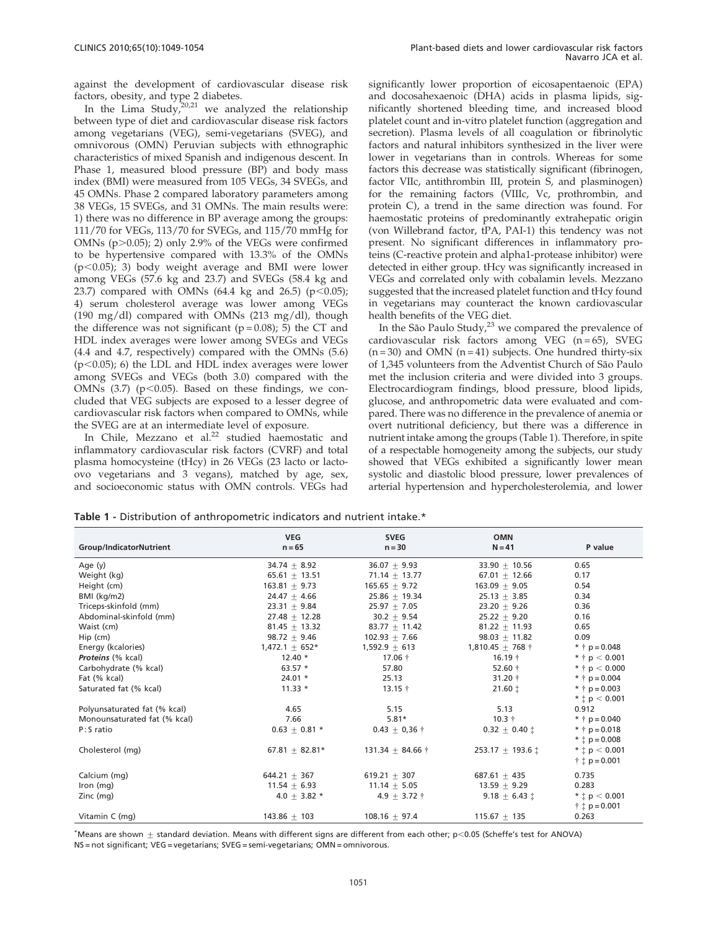<span id="page-2-0"></span>[against the development of cardiovascular disease risk](#page-5-0) [factors, obesity, and type 2 diabetes.](#page-5-0)

In the Lima Study, $20,21$  [we analyzed the relationship](#page-5-0) [between type of diet and cardiovascular disease risk factors](#page-5-0) [among vegetarians \(VEG\), semi-vegetarians \(SVEG\), and](#page-5-0) [omnivorous \(OMN\) Peruvian subjects with ethnographic](#page-5-0) [characteristics of mixed Spanish and indigenous descent. In](#page-5-0) [Phase 1, measured blood pressure \(BP\) and body mass](#page-5-0) [index \(BMI\) were measured from 105 VEGs, 34 SVEGs, and](#page-5-0) [45 OMNs. Phase 2 compared laboratory parameters among](#page-5-0) [38 VEGs, 15 SVEGs, and 31 OMNs. The main results were:](#page-5-0) [1\) there was no difference in BP average among the groups:](#page-5-0) [111/70 for VEGs, 113/70 for SVEGs, and 115/70 mmHg for](#page-5-0) OMNs ( $p > 0.05$ ); 2) only 2.9% of the VEGs were confirmed [to be hypertensive compared with 13.3% of the OMNs](#page-5-0)  $(p<0.05)$ ; 3) body weight average and BMI were lower [among VEGs \(57.6 kg and 23.7\) and SVEGs \(58.4 kg and](#page-5-0) 23.7) compared with OMNs  $(64.4 \text{ kg and } 26.5)$  (p $<0.05$ ); [4\) serum cholesterol average was lower among VEGs](#page-5-0) [\(190 mg/dl\) compared with OMNs \(213 mg/dl\), though](#page-5-0) the difference was not significant  $(p=0.08)$ ; 5) the CT and [HDL index averages were lower among SVEGs and VEGs](#page-5-0) [\(4.4 and 4.7, respectively\) compared with the OMNs \(5.6\)](#page-5-0)  $(p<0.05)$ ; 6) the LDL and HDL index averages were lower [among SVEGs and VEGs \(both 3.0\) compared with the](#page-5-0) OMNs  $(3.7)$  (p<[0.05\). Based on these findings, we con](#page-5-0)[cluded that VEG subjects are exposed to a lesser degree of](#page-5-0) [cardiovascular risk factors when compared to OMNs, while](#page-5-0) [the SVEG are at an intermediate level of exposure.](#page-5-0)

In Chile, Mezzano et al.<sup>[22](#page-5-0)</sup> [studied haemostatic and](#page-5-0) [inflammatory cardiovascular risk factors \(CVRF\) and total](#page-5-0) [plasma homocysteine \(tHcy\) in 26 VEGs \(23 lacto or lacto](#page-5-0)[ovo vegetarians and 3 vegans\), matched by age, sex,](#page-5-0) [and socioeconomic status with OMN controls. VEGs had](#page-5-0) [significantly lower proportion of eicosapentaenoic \(EPA\)](#page-5-0) [and docosahexaenoic \(DHA\) acids in plasma lipids, sig](#page-5-0)[nificantly shortened bleeding time, and increased blood](#page-5-0) [platelet count and in-vitro platelet function \(aggregation and](#page-5-0) [secretion\). Plasma levels of all coagulation or fibrinolytic](#page-5-0) [factors and natural inhibitors synthesized in the liver were](#page-5-0) [lower in vegetarians than in controls. Whereas for some](#page-5-0) [factors this decrease was statistically significant \(fibrinogen,](#page-5-0) [factor VIIc, antithrombin III, protein S, and plasminogen\)](#page-5-0) [for the remaining factors \(VIIIc, Vc, prothrombin, and](#page-5-0) [protein C\), a trend in the same direction was found. For](#page-5-0) [haemostatic proteins of predominantly extrahepatic origin](#page-5-0) [\(von Willebrand factor, tPA, PAI-1\) this tendency was not](#page-5-0) [present. No significant differences in inflammatory pro](#page-5-0)[teins \(C-reactive protein and alpha1-protease inhibitor\) were](#page-5-0) [detected in either group. tHcy was significantly increased in](#page-5-0) [VEGs and correlated only with cobalamin levels. Mezzano](#page-5-0) [suggested that the increased platelet function and tHcy found](#page-5-0) [in vegetarians may counteract the known cardiovascular](#page-5-0) [health benefits of the VEG diet.](#page-5-0)

In the São Paulo Study, $23$  [we compared the prevalence of](#page-5-0) cardiovascular risk factors among VEG  $(n=65)$ , SVEG  $(n=30)$  and OMN  $(n=41)$  subjects. One hundred thirty-six of 1,345 volunteers from the Adventist Church of São Paulo [met the inclusion criteria and were divided into 3 groups.](#page-5-0) [Electrocardiogram findings, blood pressure, blood lipids,](#page-5-0) [glucose, and anthropometric data were evaluated and com](#page-5-0)[pared. There was no difference in the prevalence of anemia or](#page-5-0) [overt nutritional deficiency, but there was a difference in](#page-5-0) nutrient intake among the groups (Table 1). Therefore, in spite of a respectable homogeneity among the subjects, our study showed that VEGs exhibited a significantly lower mean systolic and diastolic blood pressure, lower prevalences of arterial hypertension and hypercholesterolemia, and lower

|  |  | Table 1 - Distribution of anthropometric indicators and nutrient intake.* |  |  |
|--|--|---------------------------------------------------------------------------|--|--|
|--|--|---------------------------------------------------------------------------|--|--|

|                              | <b>VEG</b>       | <b>SVEG</b>              | <b>OMN</b>                  |                                |
|------------------------------|------------------|--------------------------|-----------------------------|--------------------------------|
| Group/IndicatorNutrient      | $n = 65$         | $n = 30$                 | $N = 41$                    | P value                        |
| Age $(y)$                    | $34.74 + 8.92$   | $36.07 + 9.93$           | $33.90 + 10.56$             | 0.65                           |
| Weight (kg)                  | $65.61 + 13.51$  | $71.14 + 13.77$          | $67.01 + 12.66$             | 0.17                           |
| Height (cm)                  | $163.81 + 9.73$  | $165.65 + 9.72$          | $163.09 \pm 9.05$           | 0.54                           |
| BMI (kg/m2)                  | $24.47 + 4.66$   | $25.86 + 19.34$          | $25.13 + 3.85$              | 0.34                           |
| Triceps-skinfold (mm)        | $23.31 + 9.84$   | $25.97 + 7.05$           | $23.20 + 9.26$              | 0.36                           |
| Abdominal-skinfold (mm)      | $27.48 + 12.28$  | $30.2 + 9.54$            | $25.22 + 9.20$              | 0.16                           |
| Waist (cm)                   | $81.45 + 13.32$  | 83.77 $\pm$ 11.42        | $81.22 \pm 11.93$           | 0.65                           |
| Hip (cm)                     | $98.72 + 9.46$   | $102.93 \pm 7.66$        | $98.03 + 11.82$             | 0.09                           |
| Energy (kcalories)           | $1,472.1 + 652*$ | $1,592.9 + 613$          | $1,810.45 + 768 +$          | * $\uparrow$ p = 0.048         |
| <b>Proteins</b> (% kcal)     | $12.40*$         | 17.06 †                  | 16.19 †                     | * † p $< 0.001$                |
| Carbohydrate (% kcal)        | 63.57 $*$        | 57.80                    | 52.60 †                     | * † p $< 0.000$                |
| Fat (% kcal)                 | $24.01 *$        | 25.13                    | 31.20 $\dagger$             | * $\uparrow$ p = 0.004         |
| Saturated fat (% kcal)       | $11.33 *$        | $13.15 \t{+}$            | 21.60 t                     | * $\uparrow$ p = 0.003         |
|                              |                  |                          |                             | * $\pm p < 0.001$              |
| Polyunsaturated fat (% kcal) | 4.65             | 5.15                     | 5.13                        | 0.912                          |
| Monounsaturated fat (% kcal) | 7.66             | $5.81*$                  | $10.3 +$                    | * $\uparrow$ p = 0.040         |
| P: S ratio                   | $0.63 + 0.81 *$  | $0.43 \pm 0.36 \pm 0.00$ | $0.32 \pm 0.40$ ‡           | * $\uparrow$ p = 0.018         |
|                              |                  |                          |                             | * $\ddagger$ p = 0.008         |
| Cholesterol (mq)             | $67.81 + 82.81*$ | $131.34 + 84.66 +$       | $253.17 + 193.6$ $\ddagger$ | * $\ddagger$ p < 0.001         |
|                              |                  |                          |                             | $\dagger$ $\ddagger$ p = 0.001 |
| Calcium (mg)                 | $644.21 + 367$   | $619.21 + 307$           | $687.61 + 435$              | 0.735                          |
| Iron $(mq)$                  | $11.54 \pm 6.93$ | $11.14 + 5.05$           | $13.59 + 9.29$              | 0.283                          |
| Zinc (mg)                    | $4.0 + 3.82 *$   | $4.9 + 3.72 +$           | 9.18 $\pm$ 6.43 $\ddagger$  | * $\ddagger$ p < 0.001         |
|                              |                  |                          |                             | $\dagger$ $\uparrow$ p = 0.001 |
| Vitamin C (mg)               | 143.86 $\pm$ 103 | $108.16 + 97.4$          | $115.67 + 135$              | 0.263                          |

\*Means are shown  $\pm$  standard deviation. Means with different signs are different from each other; p<0.05 (Scheffe's test for ANOVA) NS = not significant; VEG = vegetarians; SVEG = semi-vegetarians; OMN = omnivorous.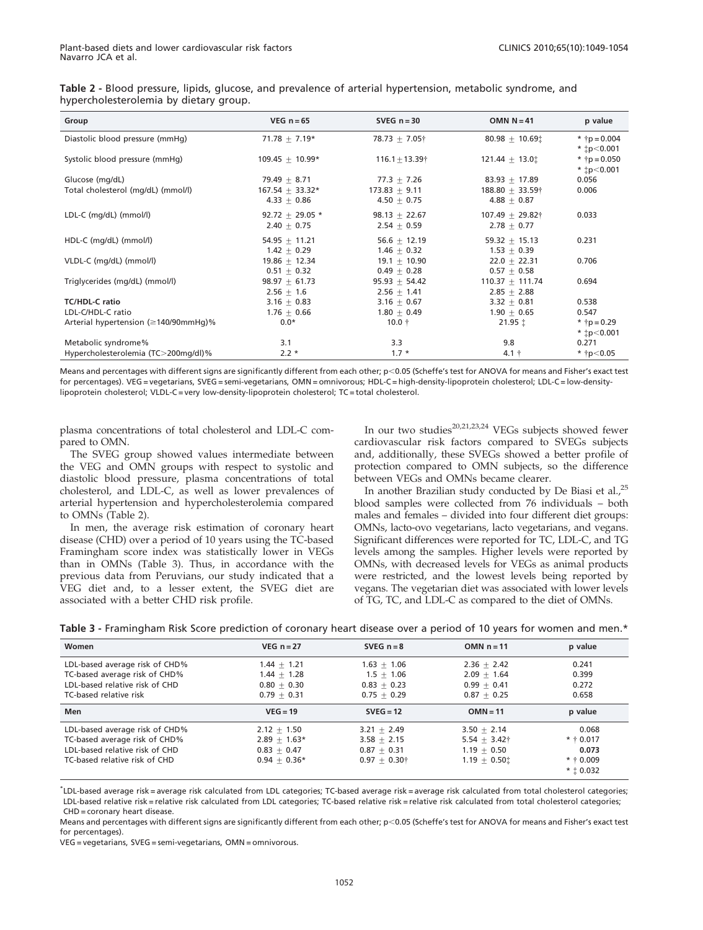| Table 2 - Blood pressure, lipids, glucose, and prevalence of arterial hypertension, metabolic syndrome, and |  |  |  |  |  |
|-------------------------------------------------------------------------------------------------------------|--|--|--|--|--|
| hypercholesterolemia by dietary group.                                                                      |  |  |  |  |  |

| Group                                       | VEG $n = 65$      | SVEG $n = 30$                | OMN $N = 41$                  | p value                |
|---------------------------------------------|-------------------|------------------------------|-------------------------------|------------------------|
| Diastolic blood pressure (mmHg)             | $71.78 + 7.19*$   | $78.73 + 7.05$ †             | $80.98 + 10.69$               | * $\uparrow p = 0.004$ |
|                                             |                   |                              |                               | * $tp<0.001$           |
| Systolic blood pressure (mmHg)              | $109.45 + 10.99*$ | $116.1 + 13.39$ <sup>†</sup> | $121.44 + 13.01$              | * $\uparrow p = 0.050$ |
|                                             |                   |                              |                               | * $tp<0.001$           |
| Glucose (mg/dL)                             | $79.49 + 8.71$    | $77.3 + 7.26$                | $83.93 + 17.89$               | 0.056                  |
| Total cholesterol (mg/dL) (mmol/l)          | $167.54 + 33.32*$ | $173.83 + 9.11$              | $188.80 + 33.59$ <sup>†</sup> | 0.006                  |
|                                             | $4.33 + 0.86$     | 4.50 $\pm$ 0.75              | $4.88 + 0.87$                 |                        |
| LDL-C (mg/dL) (mmol/l)                      | $92.72 + 29.05 *$ | $98.13 + 22.67$              | $107.49 + 29.82\dagger$       | 0.033                  |
|                                             | $2.40 + 0.75$     | $2.54 + 0.59$                | $2.78 + 0.77$                 |                        |
| HDL-C (mg/dL) (mmol/l)                      | $54.95 + 11.21$   | $56.6 + 12.19$               | 59.32 $\pm$ 15.13             | 0.231                  |
|                                             | $1.42 + 0.29$     | $1.46 + 0.32$                | $1.53 + 0.39$                 |                        |
| VLDL-C (mg/dL) (mmol/l)                     | $19.86 + 12.34$   | $19.1 + 10.90$               | $22.0 + 22.31$                | 0.706                  |
|                                             | $0.51 + 0.32$     | $0.49 + 0.28$                | $0.57 + 0.58$                 |                        |
| Triglycerides (mg/dL) (mmol/l)              | 98.97 $\pm$ 61.73 | $95.93 + 54.42$              | $110.37 + 111.74$             | 0.694                  |
|                                             | $2.56 + 1.6$      | $2.56 + 1.41$                | $2.85 + 2.88$                 |                        |
| <b>TC/HDL-C</b> ratio                       | $3.16 + 0.83$     | $3.16 + 0.67$                | $3.32 + 0.81$                 | 0.538                  |
| LDL-C/HDL-C ratio                           | $1.76 + 0.66$     | $1.80 + 0.49$                | $1.90 + 0.65$                 | 0.547                  |
| Arterial hypertension ( $\geq$ 140/90mmHg)% | $0.0*$            | $10.0 \t{+}$                 | $21.95 \pm$                   | * $tp = 0.29$          |
|                                             |                   |                              |                               | * $tp<0.001$           |
| Metabolic syndrome%                         | 3.1               | 3.3                          | 9.8                           | 0.271                  |
| Hypercholesterolemia (TC>200mg/dl)%         | $2.2 *$           | $1.7 *$                      | $4.1 \;{\rm \ddot{r}}$        | * $tp<0.05$            |

Means and percentages with different signs are significantly different from each other; p<0.05 (Scheffe's test for ANOVA for means and Fisher's exact test for percentages). VEG = vegetarians, SVEG = semi-vegetarians, OMN = omnivorous; HDL-C = high-density-lipoprotein cholesterol; LDL-C = low-densitylipoprotein cholesterol; VLDL-C = very low-density-lipoprotein cholesterol; TC = total cholesterol.

[plasma concentrations of total cholesterol and LDL-C com](#page-2-0)[pared to OMN.](#page-2-0)

The SVEG group showed values intermediate between the VEG and OMN groups with respect to systolic and diastolic blood pressure, plasma concentrations of total cholesterol, and LDL-C, as well as lower prevalences of arterial hypertension and hypercholesterolemia compared to OMNs (Table 2).

In men, the average risk estimation of coronary heart disease (CHD) over a period of 10 years using the TC-based Framingham score index was statistically lower in VEGs than in OMNs (Table 3). Thus, in accordance with the previous data from Peruvians, our study indicated that a VEG diet and, to a lesser extent, the SVEG diet are associated with a better CHD risk profile.

In our two studies<sup>[20,21,23,24](#page-5-0)</sup> [VEGs subjects showed fewer](#page-5-0) [cardiovascular risk factors compared to SVEGs subjects](#page-5-0) [and, additionally, these SVEGs showed a better profile of](#page-5-0) [protection compared to OMN subjects, so the difference](#page-5-0) [between VEGs and OMNs became clearer.](#page-5-0)

In another Brazilian study conducted by De Biasi et al.,<sup>[25](#page-5-0)</sup> [blood samples were collected from 76 individuals – both](#page-5-0) [males and females – divided into four different diet groups:](#page-5-0) [OMNs, lacto-ovo vegetarians, lacto vegetarians, and vegans.](#page-5-0) [Significant differences were reported for TC, LDL-C, and TG](#page-5-0) [levels among the samples. Higher levels were reported by](#page-5-0) [OMNs, with decreased levels for VEGs as animal products](#page-5-0) [were restricted, and the lowest levels being reported by](#page-5-0) [vegans. The vegetarian diet was associated with lower levels](#page-5-0) [of TG, TC, and LDL-C as compared to the diet of OMNs.](#page-5-0)

|  |  |  |  | Table 3 - Framingham Risk Score prediction of coronary heart disease over a period of 10 vears for women and men.* |
|--|--|--|--|--------------------------------------------------------------------------------------------------------------------|
|--|--|--|--|--------------------------------------------------------------------------------------------------------------------|

| Women                          | VEG $n = 27$   | SVEG $n = 8$    | $OMN n = 11$    | p value     |
|--------------------------------|----------------|-----------------|-----------------|-------------|
| LDL-based average risk of CHD% | $1.44 + 1.21$  | $1.63 + 1.06$   | $2.36 + 2.42$   | 0.241       |
| TC-based average risk of CHD%  | $1.44 + 1.28$  | $1.5 + 1.06$    | $2.09 + 1.64$   | 0.399       |
| LDL-based relative risk of CHD | $0.80 + 0.30$  | $0.83 + 0.23$   | $0.99 + 0.41$   | 0.272       |
| TC-based relative risk         | $0.79 + 0.31$  | $0.75 + 0.29$   | $0.87 + 0.25$   | 0.658       |
| Men                            | $VEG = 19$     | $SVEG = 12$     | $OMN = 11$      | p value     |
| LDL-based average risk of CHD% | $2.12 + 1.50$  | $3.21 + 2.49$   | $3.50 + 2.14$   | 0.068       |
| TC-based average risk of CHD%  | $2.89 + 1.63*$ | $3.58 + 2.15$   | $5.54 + 3.42$ † | $*$ † 0.017 |
| LDL-based relative risk of CHD | $0.83 + 0.47$  | $0.87 + 0.31$   | $1.19 + 0.50$   | 0.073       |
| TC-based relative risk of CHD  | $0.94 + 0.36*$ | $0.97 + 0.30$ † | $1.19 + 0.50$   | $* + 0.009$ |
|                                |                |                 |                 | * ± 0.032   |

\* LDL-based average risk = average risk calculated from LDL categories; TC-based average risk = average risk calculated from total cholesterol categories; LDL-based relative risk = relative risk calculated from LDL categories; TC-based relative risk = relative risk calculated from total cholesterol categories; CHD = coronary heart disease.

Means and percentages with different signs are significantly different from each other; p<0.05 (Scheffe's test for ANOVA for means and Fisher's exact test for percentages).

VEG = vegetarians, SVEG = semi-vegetarians, OMN = omnivorous.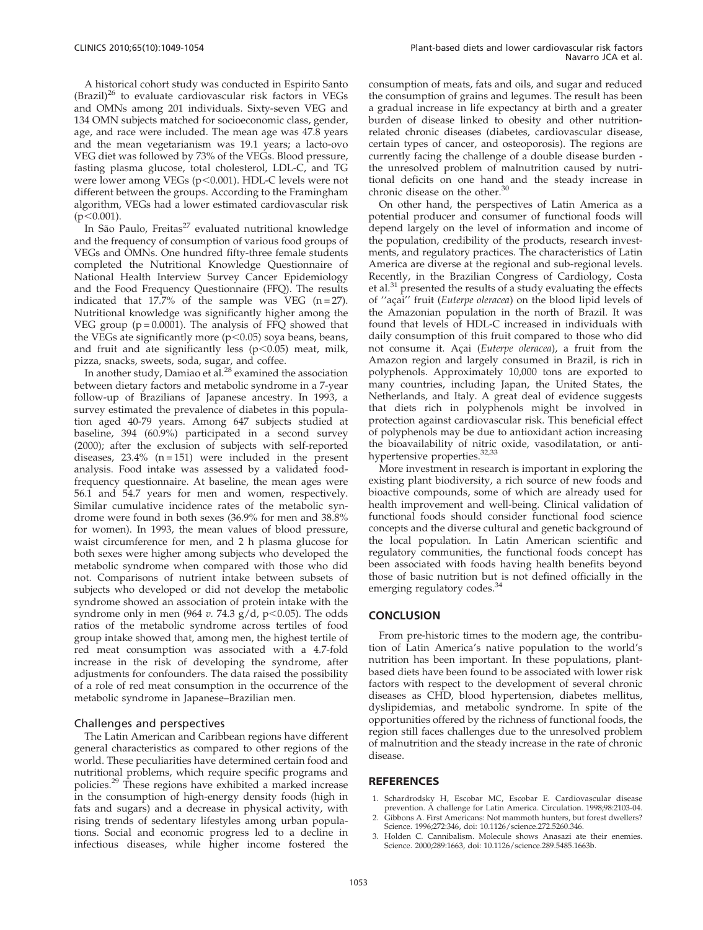<span id="page-4-0"></span>A historical cohort study was conducted in Espirito Santo  $(Brazil)<sup>26</sup>$  $(Brazil)<sup>26</sup>$  $(Brazil)<sup>26</sup>$  [to evaluate cardiovascular risk factors in VEGs](#page-5-0) [and OMNs among 201 individuals. Sixty-seven VEG and](#page-5-0) [134 OMN subjects matched for socioeconomic class, gender,](#page-5-0) [age, and race were included. The mean age was 47.8 years](#page-5-0) [and the mean vegetarianism was 19.1 years; a lacto-ovo](#page-5-0) [VEG diet was followed by 73% of the VEGs. Blood pressure,](#page-5-0) [fasting plasma glucose, total cholesterol, LDL-C, and TG](#page-5-0) were lower among VEGs ( $p$ <[0.001\). HDL-C levels were not](#page-5-0) [different between the groups. According to the Framingham](#page-5-0) [algorithm, VEGs had a lower estimated cardiovascular risk](#page-5-0)  $(p<0.001)$ .

In São Paulo, Freitas<sup>[27](#page-5-0)</sup> [evaluated nutritional knowledge](#page-5-0) [and the frequency of consumption of various food groups of](#page-5-0) [VEGs and OMNs. One hundred fifty-three female students](#page-5-0) [completed the Nutritional Knowledge Questionnaire of](#page-5-0) [National Health Interview Survey Cancer Epidemiology](#page-5-0) [and the Food Frequency Questionnaire \(FFQ\). The results](#page-5-0) indicated that 17.7% of the sample was VEG  $(n=27)$ . [Nutritional knowledge was significantly higher among the](#page-5-0) VEG group  $(p = 0.0001)$ . The analysis of FFQ showed that the VEGs ate significantly more ( $p$ <0.05) soya beans, beans, and fruit and ate significantly less ( $p$ <0.05) meat, milk, [pizza, snacks, sweets, soda, sugar, and coffee.](#page-5-0)

In another study, Damiao et al.[28](#page-5-0) [examined the association](#page-5-0) [between dietary factors and metabolic syndrome in a 7-year](#page-5-0) [follow-up of Brazilians of Japanese ancestry. In 1993, a](#page-5-0) [survey estimated the prevalence of diabetes in this popula](#page-5-0)[tion aged 40-79 years. Among 647 subjects studied at](#page-5-0) [baseline, 394 \(60.9%\) participated in a second survey](#page-5-0) [\(2000\); after the exclusion of subjects with self-reported](#page-5-0) diseases,  $23.4\%$  (n = 151) were included in the present [analysis. Food intake was assessed by a validated food](#page-5-0)[frequency questionnaire. At baseline, the mean ages were](#page-5-0) [56.1 and 54.7 years for men and women, respectively.](#page-5-0) [Similar cumulative incidence rates of the metabolic syn](#page-5-0)[drome were found in both sexes \(36.9% for men and 38.8%](#page-5-0) [for women\). In 1993, the mean values of blood pressure,](#page-5-0) [waist circumference for men, and 2 h plasma glucose for](#page-5-0) [both sexes were higher among subjects who developed the](#page-5-0) [metabolic syndrome when compared with those who did](#page-5-0) [not. Comparisons of nutrient intake between subsets of](#page-5-0) [subjects who developed or did not develop the metabolic](#page-5-0) [syndrome showed an association of protein intake with the](#page-5-0) [syndrome only in men \(964](#page-5-0) v. 74.3  $g/d$ , p<0.05). The odds [ratios of the metabolic syndrome across tertiles of food](#page-5-0) [group intake showed that, among men, the highest tertile of](#page-5-0) [red meat consumption was associated with a 4.7-fold](#page-5-0) [increase in the risk of developing the syndrome, after](#page-5-0) [adjustments for confounders. The data raised the possibility](#page-5-0) [of a role of red meat consumption in the occurrence of the](#page-5-0) [metabolic syndrome in Japanese–Brazilian men.](#page-5-0)

## Challenges and perspectives

The Latin American and Caribbean regions have different general characteristics as compared to other regions of the world. These peculiarities have determined certain food and nutritional problems, which require specific programs and policies.[29](#page-5-0) [These regions have exhibited a marked increase](#page-5-0) [in the consumption of high-energy density foods \(high in](#page-5-0) [fats and sugars\) and a decrease in physical activity, with](#page-5-0) [rising trends of sedentary lifestyles among urban popula](#page-5-0)[tions. Social and economic progress led to a decline in](#page-5-0) [infectious diseases, while higher income fostered the](#page-5-0) [consumption of meats, fats and oils, and sugar and reduced](#page-5-0) [the consumption of grains and legumes. The result has been](#page-5-0) [a gradual increase in life expectancy at birth and a greater](#page-5-0) [burden of disease linked to obesity and other nutrition](#page-5-0)[related chronic diseases \(diabetes, cardiovascular disease,](#page-5-0) [certain types of cancer, and osteoporosis\). The regions are](#page-5-0) [currently facing the challenge of a double disease burden](#page-5-0)  [the unresolved problem of malnutrition caused by nutri](#page-5-0)[tional deficits on one hand and the steady increase in](#page-5-0) [chronic](#page-5-0) [disease](#page-5-0) [on](#page-5-0) [the](#page-5-0) [other.](#page-5-0)<sup>30</sup>

On other hand, the perspectives of Latin America as a potential producer and consumer of functional foods will depend largely on the level of information and income of the population, credibility of the products, research investments, and regulatory practices. The characteristics of Latin America are diverse at the regional and sub-regional levels. Recently, in the Brazilian Congress of Cardiology, Costa et al.<sup>[31](#page-5-0)</sup> [presented the results of a study evaluating the effects](#page-5-0) of "açai" fruit (Euterpe oleracea[\) on the blood lipid levels of](#page-5-0) [the Amazonian population in the north of Brazil. It was](#page-5-0) [found that levels of HDL-C increased in individuals with](#page-5-0) [daily consumption of this fruit compared to those who did](#page-5-0) not consume it. Açai (Euterpe oleracea), a fruit from the [Amazon region and largely consumed in Brazil, is rich in](#page-5-0) [polyphenols. Approximately 10,000 tons are exported to](#page-5-0) [many countries, including Japan, the United States, the](#page-5-0) [Netherlands, and Italy. A great deal of evidence suggests](#page-5-0) [that diets rich in polyphenols might be involved in](#page-5-0) [protection against cardiovascular risk. This beneficial effect](#page-5-0) [of polyphenols may be due to antioxidant action increasing](#page-5-0) [the bioavailability of nitric oxide, vasodilatation, or anti](#page-5-0)[hypertensive](#page-5-0) properties.<sup>32,33</sup>

More investment in research is important in exploring the existing plant biodiversity, a rich source of new foods and bioactive compounds, some of which are already used for health improvement and well-being. Clinical validation of functional foods should consider functional food science concepts and the diverse cultural and genetic background of the local population. In Latin American scientific and regulatory communities, the functional foods concept has been associated with foods having health benefits beyond those of basic nutrition but is not defined officially in the emerging regulatory codes.<sup>[34](#page-5-0)</sup>

## **CONCLUSION**

From pre-historic times to the modern age, the contribution of Latin America's native population to the world's nutrition has been important. In these populations, plantbased diets have been found to be associated with lower risk factors with respect to the development of several chronic diseases as CHD, blood hypertension, diabetes mellitus, dyslipidemias, and metabolic syndrome. In spite of the opportunities offered by the richness of functional foods, the region still faces challenges due to the unresolved problem of malnutrition and the steady increase in the rate of chronic disease.

#### REFERENCES

- 1. Schardrodsky H, Escobar MC, Escobar E. Cardiovascular disease prevention. A challenge for Latin America. Circulation. 1998;98:2103-04.
- 2. [Gibbons A. First Americans: Not mammoth hunters, but forest dwellers?](http://dx.doi.org/10.1126%2Fscience.272.5260.346) [Science. 1996;272:346, doi: 10.1126/science.272.5260.346.](http://dx.doi.org/10.1126%2Fscience.272.5260.346)
- 3. [Holden C. Cannibalism. Molecule shows Anasazi ate their enemies.](http://dx.doi.org/10.1126%2Fscience.289.5485.1663b) [Science. 2000;289:1663, doi: 10.1126/science.289.5485.1663b.](http://dx.doi.org/10.1126%2Fscience.289.5485.1663b)